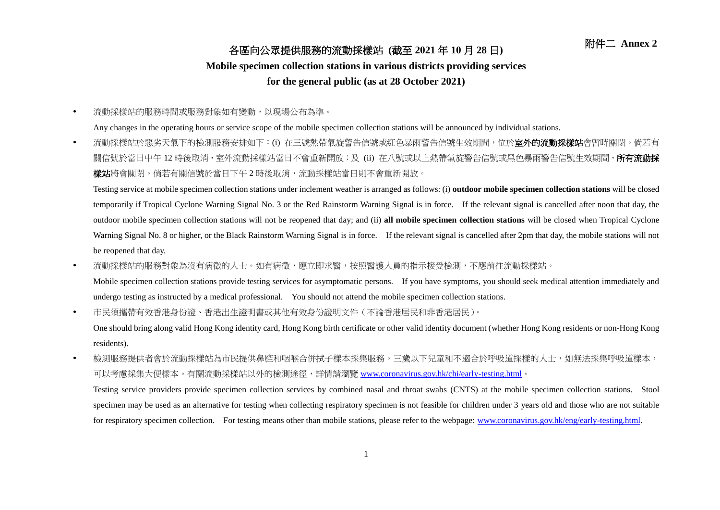## 附件二 **Annex <sup>2</sup>** 各區向公眾提供服務的流動採樣站 **(**截至 **<sup>2021</sup>** <sup>年</sup> **<sup>10</sup>** <sup>月</sup> **<sup>28</sup>** <sup>日</sup>**)**

## **Mobile specimen collection stations in various districts providing services**

## **for the general public (as at 28 October 2021)**

流動採樣站的服務時間或服務對象如有變動,以現場公布為準。

Any changes in the operating hours or service scope of the mobile specimen collection stations will be announced by individual stations.

• 流動採樣站於惡劣天氣下的檢測服務安排如下:(i) 在三號熱帶氣旋警告信號或紅色暴雨警告信號生效期間,位於**室外的流動採樣站**會暫時關閉。倘若有 關信號於當日中午 12 時後取消, 室外流動採樣站當日不會重新開放; 及 (ii) 在八號或以上熱帶氣旋警告信號或黑色暴雨警告信號生效期間,**所有流動採** 樣站將會關閉。倘若有關信號於當日下午2時後取消,流動採樣站當日則不會重新開放。

Testing service at mobile specimen collection stations under inclement weather is arranged as follows: (i) **outdoor mobile specimen collection stations** will be closed temporarily if Tropical Cyclone Warning Signal No. 3 or the Red Rainstorm Warning Signal is in force. If the relevant signal is cancelled after noon that day, the outdoor mobile specimen collection stations will not be reopened that day; and (ii) **all mobile specimen collection stations** will be closed when Tropical Cyclone Warning Signal No. 8 or higher, or the Black Rainstorm Warning Signal is in force. If the relevant signal is cancelled after 2pm that day, the mobile stations will not be reopened that day.

• 流動採樣站的服務對象為沒有病徵的人士。如有病徵,應立即求醫,按照醫護人員的指示接受檢測,不應前往流動採樣站。

Mobile specimen collection stations provide testing services for asymptomatic persons. If you have symptoms, you should seek medical attention immediately and undergo testing as instructed by a medical professional. You should not attend the mobile specimen collection stations.

市民須攜帶有效香港身份證、香港出生證明書或其他有效身份證明文件(不論香港居民和非香港居民)。

One should bring along valid Hong Kong identity card, Hong Kong birth certificate or other valid identity document (whether Hong Kong residents or non-Hong Kong residents).

• 檢測服務提供者會於流動採樣站為市民提供鼻腔和咽喉合併拭子樣本採集服務。三歲以下兒童和不適合於呼吸道採樣的人士,如無法採集呼吸道樣本, 可以考慮採集大便樣本。有關流動採樣站以外的檢測途徑,詳情請瀏覽 [www.coronavirus.gov.hk/chi/early-testing.html](http://www.coronavirus.gov.hk/chi/early-​testing.html)。

Testing service providers provide specimen collection services by combined nasal and throat swabs (CNTS) at the mobile specimen collection stations. Stool specimen may be used as an alternative for testing when collecting respiratory specimen is not feasible for children under 3 years old and those who are not suitable for respiratory specimen collection. For testing means other than mobile stations, please refer to the webpage: [www.coronavirus.gov.hk/eng/early-testing.html.](http://www.coronavirus.gov.hk/eng/early-testing.html)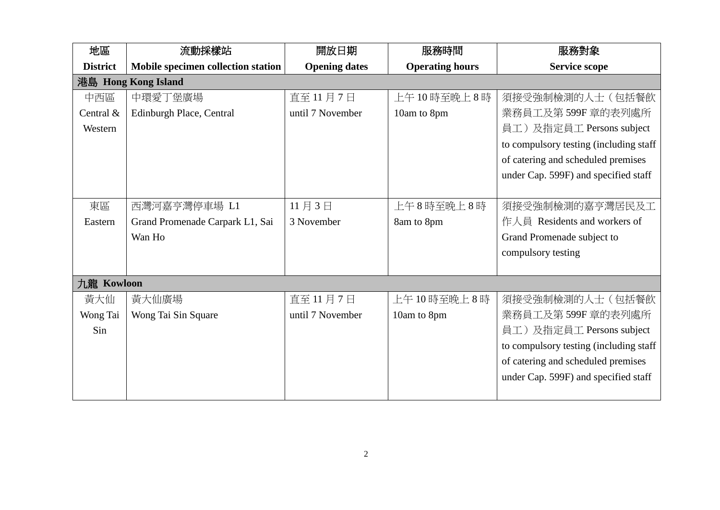| 地區                  | 流動採樣站                              | 開放日期                 | 服務時間                   | 服務對象                                    |  |  |  |
|---------------------|------------------------------------|----------------------|------------------------|-----------------------------------------|--|--|--|
| <b>District</b>     | Mobile specimen collection station | <b>Opening dates</b> | <b>Operating hours</b> | <b>Service scope</b>                    |  |  |  |
| 港島 Hong Kong Island |                                    |                      |                        |                                         |  |  |  |
| 中西區                 | 中環愛丁堡廣場                            | 直至11月7日              | 上午10時至晚上8時             | 須接受強制檢測的人士(包括餐飲                         |  |  |  |
| Central &           | Edinburgh Place, Central           | until 7 November     | 10am to 8pm            | 業務員工及第599F 章的表列處所                       |  |  |  |
| Western             |                                    |                      |                        | 員工)及指定員工 Persons subject                |  |  |  |
|                     |                                    |                      |                        | to compulsory testing (including staff) |  |  |  |
|                     |                                    |                      |                        | of catering and scheduled premises      |  |  |  |
|                     |                                    |                      |                        | under Cap. 599F) and specified staff    |  |  |  |
|                     |                                    |                      |                        |                                         |  |  |  |
| 東區                  | 西灣河嘉亨灣停車場 L1                       | 11月3日                | 上午8時至晚上8時              | 須接受強制檢測的嘉亨灣居民及工                         |  |  |  |
| Eastern             | Grand Promenade Carpark L1, Sai    | 3 November           | 8am to 8pm             | 作人員 Residents and workers of            |  |  |  |
|                     | Wan Ho                             |                      |                        | Grand Promenade subject to              |  |  |  |
|                     |                                    |                      |                        | compulsory testing                      |  |  |  |
|                     |                                    |                      |                        |                                         |  |  |  |
| 九龍 Kowloon          |                                    |                      |                        |                                         |  |  |  |
| 黃大仙                 | 黃大仙廣場                              | 直至 11月7日             | 上午10時至晚上8時             | 須接受強制檢測的人士(包括餐飲                         |  |  |  |
| Wong Tai            | Wong Tai Sin Square                | until 7 November     | 10am to 8pm            | 業務員工及第599F 章的表列處所                       |  |  |  |
| Sin                 |                                    |                      |                        | 員工)及指定員工 Persons subject                |  |  |  |
|                     |                                    |                      |                        | to compulsory testing (including staff  |  |  |  |
|                     |                                    |                      |                        | of catering and scheduled premises      |  |  |  |
|                     |                                    |                      |                        | under Cap. 599F) and specified staff    |  |  |  |
|                     |                                    |                      |                        |                                         |  |  |  |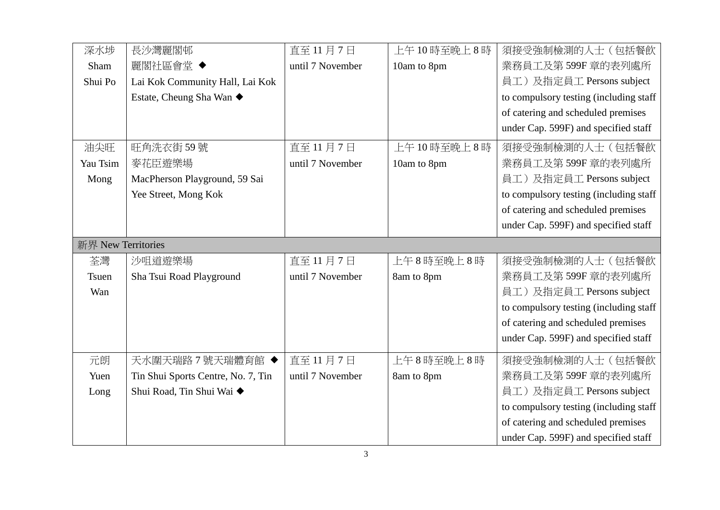| 深水埗                | 長沙灣麗閣邨                             | 直至11月7日          | 上午10時至晚上8時  | 須接受強制檢測的人士(包括餐飲                         |  |  |  |
|--------------------|------------------------------------|------------------|-------------|-----------------------------------------|--|--|--|
| Sham               | 麗閣社區會堂 ◆                           | until 7 November | 10am to 8pm | 業務員工及第599F 章的表列處所                       |  |  |  |
| Shui Po            | Lai Kok Community Hall, Lai Kok    |                  |             | 員工)及指定員工 Persons subject                |  |  |  |
|                    | Estate, Cheung Sha Wan ◆           |                  |             | to compulsory testing (including staff  |  |  |  |
|                    |                                    |                  |             | of catering and scheduled premises      |  |  |  |
|                    |                                    |                  |             | under Cap. 599F) and specified staff    |  |  |  |
| 油尖旺                | 旺角洗衣街59號                           | 直至11月7日          | 上午10時至晚上8時  | 須接受強制檢測的人士(包括餐飲                         |  |  |  |
| Yau Tsim           | 麥花臣遊樂場                             | until 7 November | 10am to 8pm | 業務員工及第599F 章的表列處所                       |  |  |  |
| Mong               | MacPherson Playground, 59 Sai      |                  |             | 員工)及指定員工 Persons subject                |  |  |  |
|                    | Yee Street, Mong Kok               |                  |             | to compulsory testing (including staff  |  |  |  |
|                    |                                    |                  |             | of catering and scheduled premises      |  |  |  |
|                    |                                    |                  |             | under Cap. 599F) and specified staff    |  |  |  |
| 新界 New Territories |                                    |                  |             |                                         |  |  |  |
| 荃灣                 | 沙咀道遊樂場                             | 直至 11月7日         | 上午8時至晚上8時   | 須接受強制檢測的人士(包括餐飲                         |  |  |  |
| <b>Tsuen</b>       | Sha Tsui Road Playground           | until 7 November | 8am to 8pm  | 業務員工及第599F 章的表列處所                       |  |  |  |
| Wan                |                                    |                  |             | 員工)及指定員工 Persons subject                |  |  |  |
|                    |                                    |                  |             | to compulsory testing (including staff) |  |  |  |
|                    |                                    |                  |             | of catering and scheduled premises      |  |  |  |
|                    |                                    |                  |             | under Cap. 599F) and specified staff    |  |  |  |
| 元朗                 | 天水圍天瑞路7號天瑞體育館 ◆                    | 直至11月7日          | 上午8時至晚上8時   | 須接受強制檢測的人士(包括餐飲                         |  |  |  |
| Yuen               | Tin Shui Sports Centre, No. 7, Tin | until 7 November | 8am to 8pm  | 業務員工及第599F 章的表列處所                       |  |  |  |
| Long               | Shui Road, Tin Shui Wai ◆          |                  |             | 員工)及指定員工 Persons subject                |  |  |  |
|                    |                                    |                  |             | to compulsory testing (including staff  |  |  |  |
|                    |                                    |                  |             | of catering and scheduled premises      |  |  |  |
|                    |                                    |                  |             | under Cap. 599F) and specified staff    |  |  |  |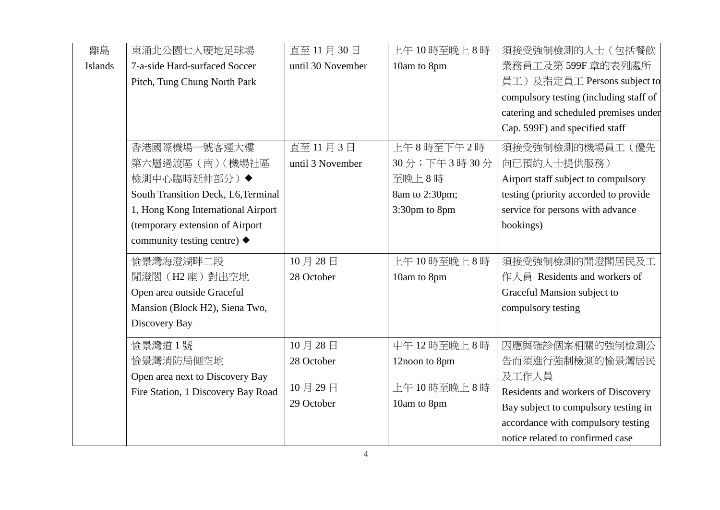| 離島             | 東涌北公園七人硬地足球場                              | 直至 11月 30日        | 上午10時至晚上8時     | 須接受強制檢測的人士(包括餐飲                        |
|----------------|-------------------------------------------|-------------------|----------------|----------------------------------------|
| <b>Islands</b> | 7-a-side Hard-surfaced Soccer             | until 30 November | 10am to 8pm    | 業務員工及第599F 章的表列處所                      |
|                | Pitch, Tung Chung North Park              |                   |                | 員工)及指定員工 Persons subject to            |
|                |                                           |                   |                | compulsory testing (including staff of |
|                |                                           |                   |                | catering and scheduled premises under  |
|                |                                           |                   |                | Cap. 599F) and specified staff         |
|                | 香港國際機場一號客運大樓                              | 直至11月3日           | 上午8時至下午2時      | 須接受強制檢測的機場員工(優先                        |
|                | 第六層過渡區 (南) (機場社區                          | until 3 November  | 30分;下午3時30分    | 向已預約人士提供服務)                            |
|                | 檢測中心臨時延伸部分)◆                              |                   | 至晚上8時          | Airport staff subject to compulsory    |
|                | South Transition Deck, L6, Terminal       |                   | 8am to 2:30pm; | testing (priority accorded to provide  |
|                | 1, Hong Kong International Airport        |                   | 3:30pm to 8pm  | service for persons with advance       |
|                | (temporary extension of Airport           |                   |                | bookings)                              |
|                | community testing centre) $\blacklozenge$ |                   |                |                                        |
|                | 愉景灣海澄湖畔二段                                 | 10月28日            | 上午10時至晚上8時     | 須接受強制檢測的閒澄閣居民及工                        |
|                | 閒澄閣 (H2座) 對出空地                            | 28 October        | 10am to 8pm    | 作人員 Residents and workers of           |
|                | Open area outside Graceful                |                   |                | Graceful Mansion subject to            |
|                | Mansion (Block H2), Siena Two,            |                   |                | compulsory testing                     |
|                | Discovery Bay                             |                   |                |                                        |
|                | 偷景灣道1號                                    | 10月28日            | 中午12時至晚上8時     | 因應與確診個案相關的強制檢測公                        |
|                | 愉景灣消防局側空地                                 | 28 October        | 12noon to 8pm  | 告而須進行強制檢測的愉景灣居民                        |
|                | Open area next to Discovery Bay           |                   |                | 及工作人員                                  |
|                | Fire Station, 1 Discovery Bay Road        | 10月29日            | 上午10時至晚上8時     | Residents and workers of Discovery     |
|                |                                           | 29 October        | 10am to 8pm    | Bay subject to compulsory testing in   |
|                |                                           |                   |                | accordance with compulsory testing     |
|                |                                           |                   |                | notice related to confirmed case       |